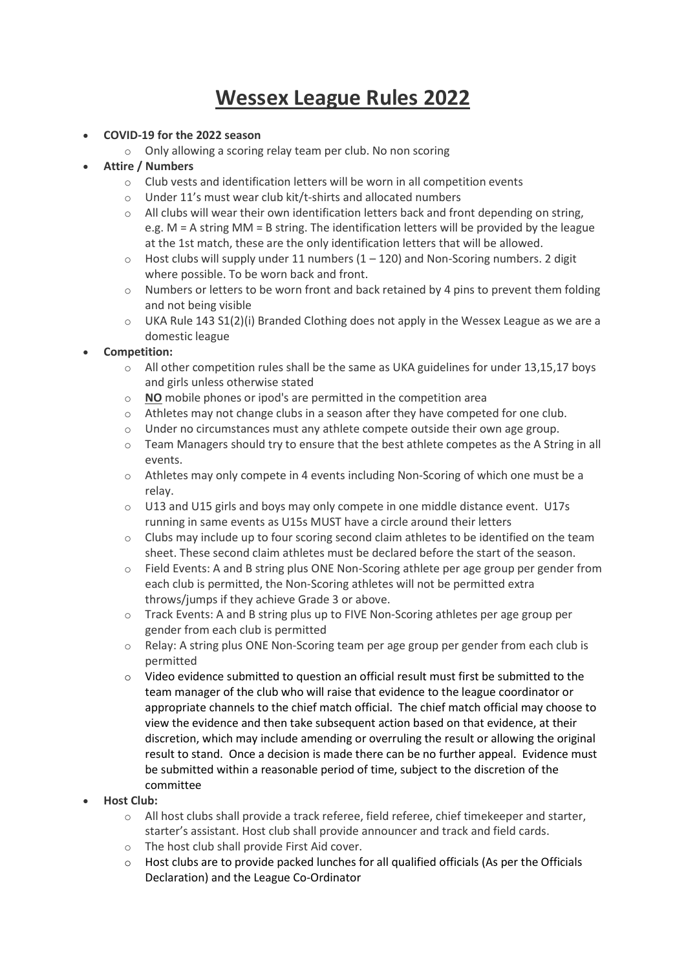# Wessex League Rules 2022

#### COVID-19 for the 2022 season

o Only allowing a scoring relay team per club. No non scoring

## Attire / Numbers

- o Club vests and identification letters will be worn in all competition events
- o Under 11's must wear club kit/t-shirts and allocated numbers
- $\circ$  All clubs will wear their own identification letters back and front depending on string, e.g. M = A string MM = B string. The identification letters will be provided by the league at the 1st match, these are the only identification letters that will be allowed.
- $\circ$  Host clubs will supply under 11 numbers (1 120) and Non-Scoring numbers. 2 digit where possible. To be worn back and front.
- o Numbers or letters to be worn front and back retained by 4 pins to prevent them folding and not being visible
- o UKA Rule 143 S1(2)(i) Branded Clothing does not apply in the Wessex League as we are a domestic league

## Competition:

- $\circ$  All other competition rules shall be the same as UKA guidelines for under 13,15,17 boys and girls unless otherwise stated
- o NO mobile phones or ipod's are permitted in the competition area
- $\circ$  Athletes may not change clubs in a season after they have competed for one club.
- $\circ$  Under no circumstances must any athlete compete outside their own age group.
- $\circ$  Team Managers should try to ensure that the best athlete competes as the A String in all events.
- $\circ$  Athletes may only compete in 4 events including Non-Scoring of which one must be a relay.
- o U13 and U15 girls and boys may only compete in one middle distance event. U17s running in same events as U15s MUST have a circle around their letters
- $\circ$  Clubs may include up to four scoring second claim athletes to be identified on the team sheet. These second claim athletes must be declared before the start of the season.
- $\circ$  Field Events: A and B string plus ONE Non-Scoring athlete per age group per gender from each club is permitted, the Non-Scoring athletes will not be permitted extra throws/jumps if they achieve Grade 3 or above.
- o Track Events: A and B string plus up to FIVE Non-Scoring athletes per age group per gender from each club is permitted
- $\circ$  Relay: A string plus ONE Non-Scoring team per age group per gender from each club is permitted
- $\circ$  Video evidence submitted to question an official result must first be submitted to the team manager of the club who will raise that evidence to the league coordinator or appropriate channels to the chief match official. The chief match official may choose to view the evidence and then take subsequent action based on that evidence, at their discretion, which may include amending or overruling the result or allowing the original result to stand. Once a decision is made there can be no further appeal. Evidence must be submitted within a reasonable period of time, subject to the discretion of the committee

## Host Club:

- o All host clubs shall provide a track referee, field referee, chief timekeeper and starter, starter's assistant. Host club shall provide announcer and track and field cards.
- o The host club shall provide First Aid cover.
- $\circ$  Host clubs are to provide packed lunches for all qualified officials (As per the Officials Declaration) and the League Co-Ordinator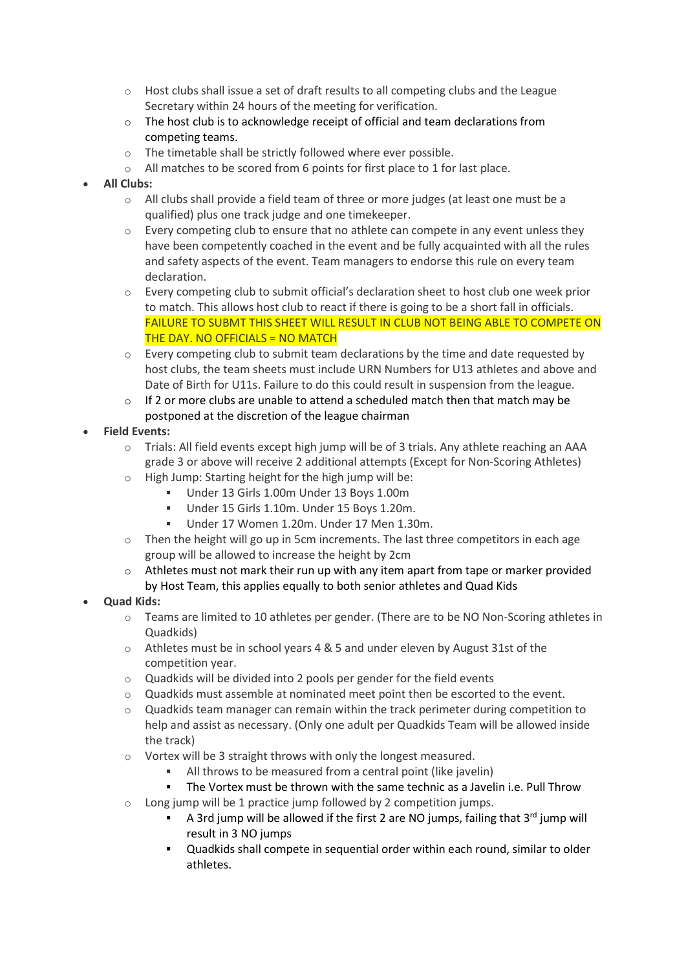- $\circ$  Host clubs shall issue a set of draft results to all competing clubs and the League Secretary within 24 hours of the meeting for verification.
- $\circ$  The host club is to acknowledge receipt of official and team declarations from competing teams.
- o The timetable shall be strictly followed where ever possible.
- $\circ$  All matches to be scored from 6 points for first place to 1 for last place.
- All Clubs:
	- $\circ$  All clubs shall provide a field team of three or more judges (at least one must be a qualified) plus one track judge and one timekeeper.
	- $\circ$  Every competing club to ensure that no athlete can compete in any event unless they have been competently coached in the event and be fully acquainted with all the rules and safety aspects of the event. Team managers to endorse this rule on every team declaration.
	- $\circ$  Every competing club to submit official's declaration sheet to host club one week prior to match. This allows host club to react if there is going to be a short fall in officials. FAILURE TO SUBMT THIS SHEET WILL RESULT IN CLUB NOT BEING ABLE TO COMPETE ON THE DAY. NO OFFICIALS = NO MATCH
	- $\circ$  Every competing club to submit team declarations by the time and date requested by host clubs, the team sheets must include URN Numbers for U13 athletes and above and Date of Birth for U11s. Failure to do this could result in suspension from the league.
	- $\circ$  If 2 or more clubs are unable to attend a scheduled match then that match may be postponed at the discretion of the league chairman
- Field Events:
	- o Trials: All field events except high jump will be of 3 trials. Any athlete reaching an AAA grade 3 or above will receive 2 additional attempts (Except for Non-Scoring Athletes)
	- $\circ$  High Jump: Starting height for the high jump will be:
		- Under 13 Girls 1.00m Under 13 Boys 1.00m
		- Under 15 Girls 1.10m. Under 15 Boys 1.20m.
		- Under 17 Women 1.20m. Under 17 Men 1.30m.
	- $\circ$  Then the height will go up in 5cm increments. The last three competitors in each age group will be allowed to increase the height by 2cm
	- $\circ$  Athletes must not mark their run up with any item apart from tape or marker provided by Host Team, this applies equally to both senior athletes and Quad Kids
- Quad Kids:
	- $\circ$  Teams are limited to 10 athletes per gender. (There are to be NO Non-Scoring athletes in Quadkids)
	- o Athletes must be in school years 4 & 5 and under eleven by August 31st of the competition year.
	- o Quadkids will be divided into 2 pools per gender for the field events
	- $\circ$  Quadkids must assemble at nominated meet point then be escorted to the event.
	- $\circ$  Quadkids team manager can remain within the track perimeter during competition to help and assist as necessary. (Only one adult per Quadkids Team will be allowed inside the track)
	- o Vortex will be 3 straight throws with only the longest measured.
		- All throws to be measured from a central point (like javelin)
		- The Vortex must be thrown with the same technic as a Javelin i.e. Pull Throw
	- $\circ$  Long jump will be 1 practice jump followed by 2 competition jumps.
		- A 3rd jump will be allowed if the first 2 are NO jumps, failing that  $3^{rd}$  jump will result in 3 NO jumps
		- Quadkids shall compete in sequential order within each round, similar to older athletes.